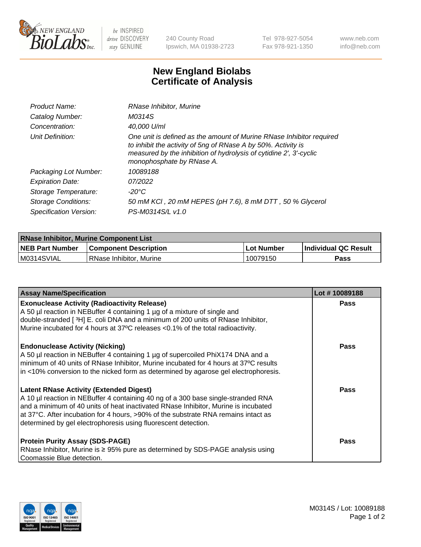

 $be$  INSPIRED drive DISCOVERY stay GENUINE

240 County Road Ipswich, MA 01938-2723 Tel 978-927-5054 Fax 978-921-1350 www.neb.com info@neb.com

## **New England Biolabs Certificate of Analysis**

| Product Name:           | RNase Inhibitor, Murine                                                                                                                                                                                                                  |
|-------------------------|------------------------------------------------------------------------------------------------------------------------------------------------------------------------------------------------------------------------------------------|
| Catalog Number:         | M0314S                                                                                                                                                                                                                                   |
| Concentration:          | 40,000 U/ml                                                                                                                                                                                                                              |
| Unit Definition:        | One unit is defined as the amount of Murine RNase Inhibitor required<br>to inhibit the activity of 5ng of RNase A by 50%. Activity is<br>measured by the inhibition of hydrolysis of cytidine 2', 3'-cyclic<br>monophosphate by RNase A. |
| Packaging Lot Number:   | 10089188                                                                                                                                                                                                                                 |
| <b>Expiration Date:</b> | 07/2022                                                                                                                                                                                                                                  |
| Storage Temperature:    | -20°C                                                                                                                                                                                                                                    |
| Storage Conditions:     | 50 mM KCI, 20 mM HEPES (pH 7.6), 8 mM DTT, 50 % Glycerol                                                                                                                                                                                 |
| Specification Version:  | PS-M0314S/L v1.0                                                                                                                                                                                                                         |

| <b>RNase Inhibitor, Murine Component List</b> |                              |              |                             |  |
|-----------------------------------------------|------------------------------|--------------|-----------------------------|--|
| <b>NEB Part Number</b>                        | <b>Component Description</b> | l Lot Number | <b>Individual QC Result</b> |  |
| M0314SVIAL                                    | l RNase Inhibitor. Murine    | 10079150     | Pass                        |  |

| <b>Assay Name/Specification</b>                                                      | Lot #10089188 |
|--------------------------------------------------------------------------------------|---------------|
| <b>Exonuclease Activity (Radioactivity Release)</b>                                  | Pass          |
| A 50 µl reaction in NEBuffer 4 containing 1 µg of a mixture of single and            |               |
| double-stranded [3H] E. coli DNA and a minimum of 200 units of RNase Inhibitor,      |               |
| Murine incubated for 4 hours at 37°C releases <0.1% of the total radioactivity.      |               |
| <b>Endonuclease Activity (Nicking)</b>                                               | <b>Pass</b>   |
| A 50 µl reaction in NEBuffer 4 containing 1 µg of supercoiled PhiX174 DNA and a      |               |
| minimum of 40 units of RNase Inhibitor, Murine incubated for 4 hours at 37°C results |               |
| in <10% conversion to the nicked form as determined by agarose gel electrophoresis.  |               |
| <b>Latent RNase Activity (Extended Digest)</b>                                       | <b>Pass</b>   |
| A 10 µl reaction in NEBuffer 4 containing 40 ng of a 300 base single-stranded RNA    |               |
| and a minimum of 40 units of heat inactivated RNase Inhibitor, Murine is incubated   |               |
| at 37°C. After incubation for 4 hours, >90% of the substrate RNA remains intact as   |               |
| determined by gel electrophoresis using fluorescent detection.                       |               |
| <b>Protein Purity Assay (SDS-PAGE)</b>                                               | <b>Pass</b>   |
| RNase Inhibitor, Murine is ≥ 95% pure as determined by SDS-PAGE analysis using       |               |
| Coomassie Blue detection.                                                            |               |